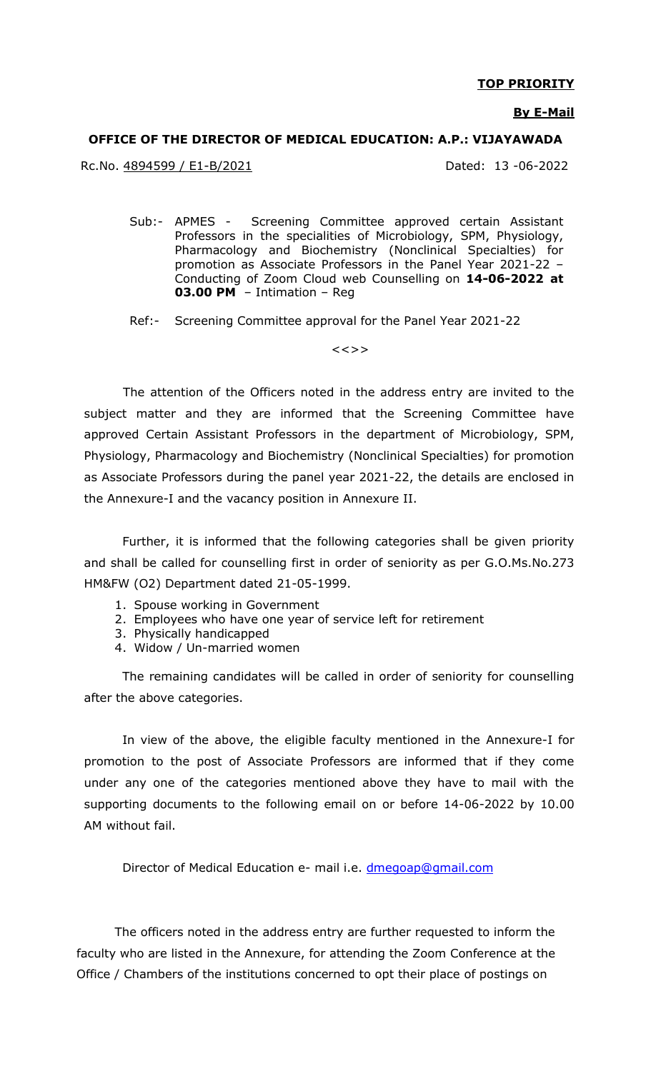#### **TOP PRIORITY**

#### **By E-Mail**

#### **OFFICE OF THE DIRECTOR OF MEDICAL EDUCATION: A.P.: VIJAYAWADA**

Rc.No. 4894599 / E1-B/2021 Dated: 13 -06-2022

Sub:- APMES - Screening Committee approved certain Assistant Professors in the specialities of Microbiology, SPM, Physiology, Pharmacology and Biochemistry (Nonclinical Specialties) for promotion as Associate Professors in the Panel Year 2021-22 – Conducting of Zoom Cloud web Counselling on **14-06-2022 at 03.00 PM** – Intimation – Reg

Ref:- Screening Committee approval for the Panel Year 2021-22

 $<<$ >>

 The attention of the Officers noted in the address entry are invited to the subject matter and they are informed that the Screening Committee have approved Certain Assistant Professors in the department of Microbiology, SPM, Physiology, Pharmacology and Biochemistry (Nonclinical Specialties) for promotion as Associate Professors during the panel year 2021-22, the details are enclosed in the Annexure-I and the vacancy position in Annexure II.

Further, it is informed that the following categories shall be given priority and shall be called for counselling first in order of seniority as per G.O.Ms.No.273 HM&FW (O2) Department dated 21-05-1999.

- 1. Spouse working in Government
- 2. Employees who have one year of service left for retirement
- 3. Physically handicapped
- 4. Widow / Un-married women

The remaining candidates will be called in order of seniority for counselling after the above categories.

In view of the above, the eligible faculty mentioned in the Annexure-I for promotion to the post of Associate Professors are informed that if they come under any one of the categories mentioned above they have to mail with the supporting documents to the following email on or before 14-06-2022 by 10.00 AM without fail.

Director of Medical Education e- mail i.e. [dmegoap@gmail.com](mailto:dmegoap@gmail.com)

The officers noted in the address entry are further requested to inform the faculty who are listed in the Annexure, for attending the Zoom Conference at the Office / Chambers of the institutions concerned to opt their place of postings on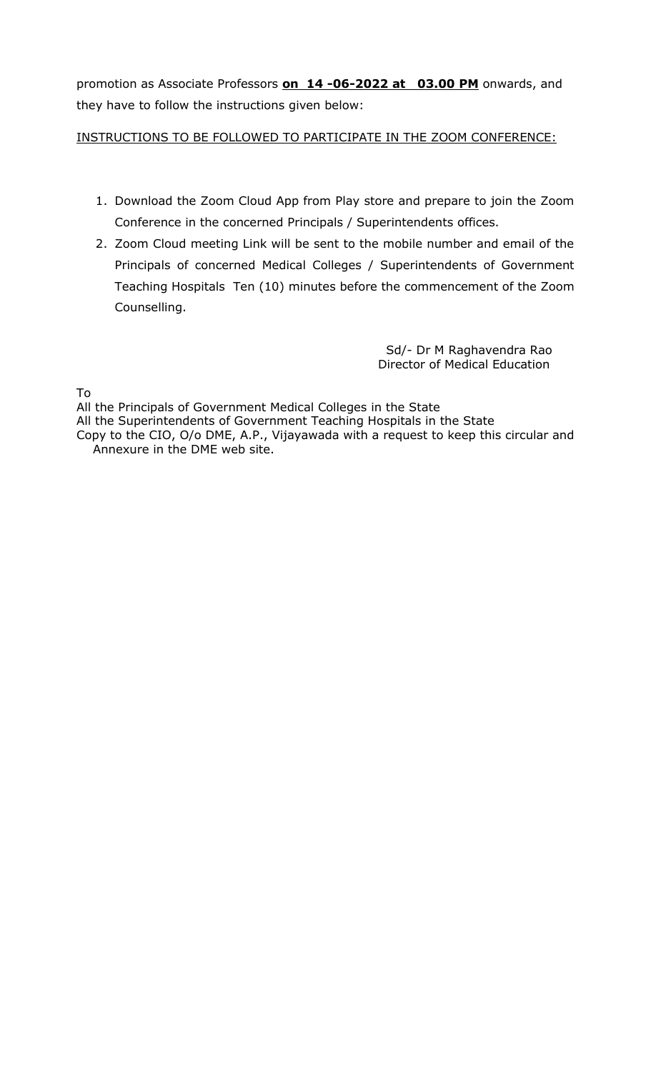promotion as Associate Professors **on 14 -06-2022 at 03.00 PM** onwards, and they have to follow the instructions given below:

INSTRUCTIONS TO BE FOLLOWED TO PARTICIPATE IN THE ZOOM CONFERENCE:

- 1. Download the Zoom Cloud App from Play store and prepare to join the Zoom Conference in the concerned Principals / Superintendents offices.
- 2. Zoom Cloud meeting Link will be sent to the mobile number and email of the Principals of concerned Medical Colleges / Superintendents of Government Teaching Hospitals Ten (10) minutes before the commencement of the Zoom Counselling.

 Sd/- Dr M Raghavendra Rao Director of Medical Education

To

All the Principals of Government Medical Colleges in the State All the Superintendents of Government Teaching Hospitals in the State Copy to the CIO, O/o DME, A.P., Vijayawada with a request to keep this circular and Annexure in the DME web site.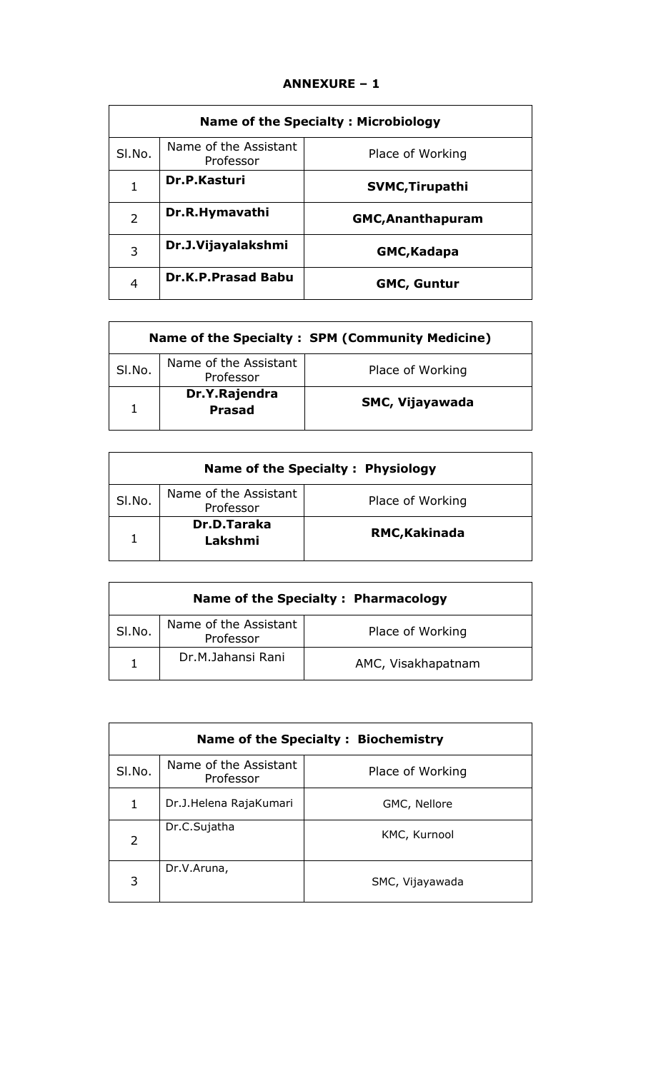# **ANNEXURE – 1**

| <b>Name of the Specialty: Microbiology</b> |                                    |                          |
|--------------------------------------------|------------------------------------|--------------------------|
| SI.No.                                     | Name of the Assistant<br>Professor | Place of Working         |
| 1                                          | Dr.P.Kasturi                       | <b>SVMC, Tirupathi</b>   |
| 2                                          | Dr.R.Hymavathi                     | <b>GMC, Ananthapuram</b> |
| 3                                          | Dr.J.Vijayalakshmi                 | <b>GMC, Kadapa</b>       |
| 4                                          | <b>Dr.K.P.Prasad Babu</b>          | <b>GMC, Guntur</b>       |

| Name of the Specialty: SPM (Community Medicine) |                                    |                        |  |
|-------------------------------------------------|------------------------------------|------------------------|--|
| SI.No.                                          | Name of the Assistant<br>Professor | Place of Working       |  |
| 1                                               | Dr.Y.Rajendra<br><b>Prasad</b>     | <b>SMC, Vijayawada</b> |  |

| Name of the Specialty: Physiology |                                                        |               |  |
|-----------------------------------|--------------------------------------------------------|---------------|--|
| SI.No.                            | Name of the Assistant<br>Place of Working<br>Professor |               |  |
| 1                                 | <b>Dr.D.Taraka</b><br>Lakshmi                          | RMC, Kakinada |  |

| Name of the Specialty: Pharmacology |                                    |                    |  |
|-------------------------------------|------------------------------------|--------------------|--|
| SI.No.                              | Name of the Assistant<br>Professor | Place of Working   |  |
|                                     | Dr.M.Jahansi Rani                  | AMC, Visakhapatnam |  |

| Name of the Specialty: Biochemistry |                                    |                  |  |
|-------------------------------------|------------------------------------|------------------|--|
| SI.No.                              | Name of the Assistant<br>Professor | Place of Working |  |
| 1                                   | Dr.J.Helena RajaKumari             | GMC, Nellore     |  |
| 2                                   | Dr.C.Sujatha                       | KMC, Kurnool     |  |
| 3                                   | Dr.V.Aruna,                        | SMC, Vijayawada  |  |